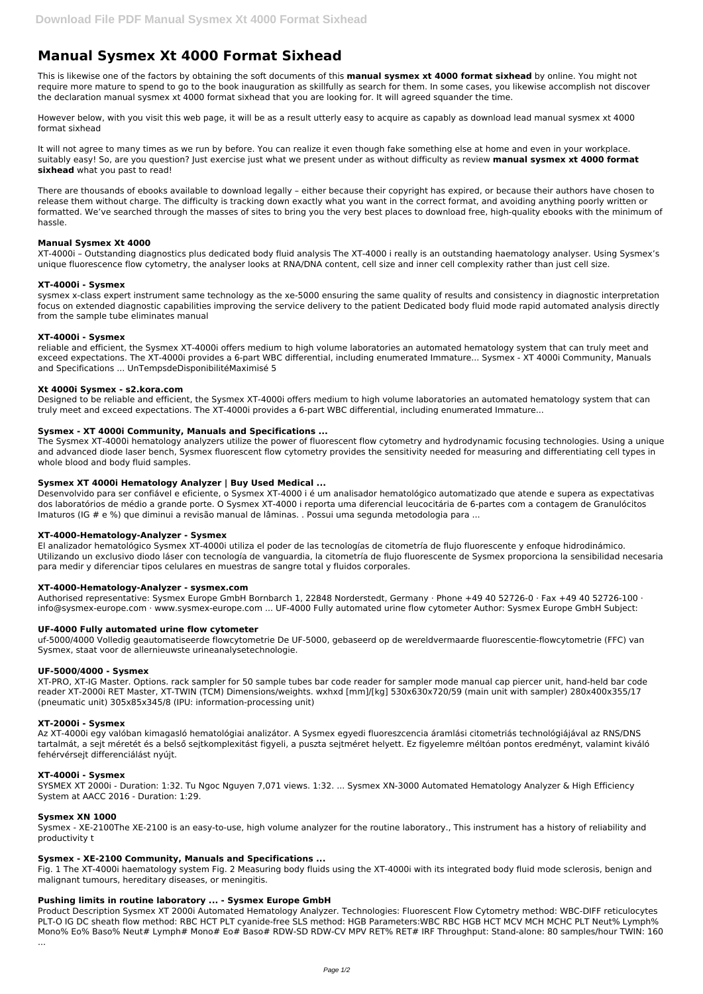# **Manual Sysmex Xt 4000 Format Sixhead**

This is likewise one of the factors by obtaining the soft documents of this **manual sysmex xt 4000 format sixhead** by online. You might not require more mature to spend to go to the book inauguration as skillfully as search for them. In some cases, you likewise accomplish not discover the declaration manual sysmex xt 4000 format sixhead that you are looking for. It will agreed squander the time.

However below, with you visit this web page, it will be as a result utterly easy to acquire as capably as download lead manual sysmex xt 4000 format sixhead

It will not agree to many times as we run by before. You can realize it even though fake something else at home and even in your workplace. suitably easy! So, are you question? Just exercise just what we present under as without difficulty as review **manual sysmex xt 4000 format sixhead** what you past to read!

There are thousands of ebooks available to download legally – either because their copyright has expired, or because their authors have chosen to release them without charge. The difficulty is tracking down exactly what you want in the correct format, and avoiding anything poorly written or formatted. We've searched through the masses of sites to bring you the very best places to download free, high-quality ebooks with the minimum of hassle.

# **Manual Sysmex Xt 4000**

XT-4000i – Outstanding diagnostics plus dedicated body fluid analysis The XT-4000 i really is an outstanding haematology analyser. Using Sysmex's unique fluorescence flow cytometry, the analyser looks at RNA/DNA content, cell size and inner cell complexity rather than just cell size.

#### **XT-4000i - Sysmex**

sysmex x-class expert instrument same technology as the xe-5000 ensuring the same quality of results and consistency in diagnostic interpretation focus on extended diagnostic capabilities improving the service delivery to the patient Dedicated body fluid mode rapid automated analysis directly from the sample tube eliminates manual

# **XT-4000i - Sysmex**

reliable and efficient, the Sysmex XT-4000i offers medium to high volume laboratories an automated hematology system that can truly meet and exceed expectations. The XT-4000i provides a 6-part WBC differential, including enumerated Immature... Sysmex - XT 4000i Community, Manuals and Specifications ... UnTempsdeDisponibilitéMaximisé 5

#### **Xt 4000i Sysmex - s2.kora.com**

Designed to be reliable and efficient, the Sysmex XT-4000i offers medium to high volume laboratories an automated hematology system that can truly meet and exceed expectations. The XT-4000i provides a 6-part WBC differential, including enumerated Immature...

# **Sysmex - XT 4000i Community, Manuals and Specifications ...**

The Sysmex XT-4000i hematology analyzers utilize the power of fluorescent flow cytometry and hydrodynamic focusing technologies. Using a unique and advanced diode laser bench, Sysmex fluorescent flow cytometry provides the sensitivity needed for measuring and differentiating cell types in whole blood and body fluid samples.

#### **Sysmex XT 4000i Hematology Analyzer | Buy Used Medical ...**

Desenvolvido para ser confiável e eficiente, o Sysmex XT-4000 i é um analisador hematológico automatizado que atende e supera as expectativas dos laboratórios de médio a grande porte. O Sysmex XT-4000 i reporta uma diferencial leucocitária de 6-partes com a contagem de Granulócitos Imaturos (IG # e %) que diminui a revisão manual de lâminas. . Possui uma segunda metodologia para ...

#### **XT-4000-Hematology-Analyzer - Sysmex**

El analizador hematológico Sysmex XT-4000i utiliza el poder de las tecnologías de citometría de flujo fluorescente y enfoque hidrodinámico. Utilizando un exclusivo diodo láser con tecnología de vanguardia, la citometría de flujo fluorescente de Sysmex proporciona la sensibilidad necesaria para medir y diferenciar tipos celulares en muestras de sangre total y fluidos corporales.

#### **XT-4000-Hematology-Analyzer - sysmex.com**

Authorised representative: Sysmex Europe GmbH Bornbarch 1, 22848 Norderstedt, Germany · Phone +49 40 52726-0 · Fax +49 40 52726-100 · info@sysmex-europe.com · www.sysmex-europe.com ... UF-4000 Fully automated urine flow cytometer Author: Sysmex Europe GmbH Subject:

#### **UF-4000 Fully automated urine flow cytometer**

uf-5000/4000 Volledig geautomatiseerde flowcytometrie De UF-5000, gebaseerd op de wereldvermaarde fluorescentie-flowcytometrie (FFC) van Sysmex, staat voor de allernieuwste urineanalysetechnologie.

#### **UF-5000/4000 - Sysmex**

XT-PRO, XT-IG Master. Options. rack sampler for 50 sample tubes bar code reader for sampler mode manual cap piercer unit, hand-held bar code reader XT-2000i RET Master, XT-TWIN (TCM) Dimensions/weights. wxhxd [mm]/[kg] 530x630x720/59 (main unit with sampler) 280x400x355/17 (pneumatic unit) 305x85x345/8 (IPU: information-processing unit)

#### **XT-2000i - Sysmex**

Az XT-4000i egy valóban kimagasló hematológiai analizátor. A Sysmex egyedi fluoreszcencia áramlási citometriás technológiájával az RNS/DNS tartalmát, a sejt méretét és a belső sejtkomplexitást figyeli, a puszta sejtméret helyett. Ez figyelemre méltóan pontos eredményt, valamint kiváló

### **XT-4000i - Sysmex**

SYSMEX XT 2000i - Duration: 1:32. Tu Ngoc Nguyen 7,071 views. 1:32. ... Sysmex XN-3000 Automated Hematology Analyzer & High Efficiency System at AACC 2016 - Duration: 1:29.

### **Sysmex XN 1000**

Sysmex - XE-2100The XE-2100 is an easy-to-use, high volume analyzer for the routine laboratory., This instrument has a history of reliability and productivity t

#### **Sysmex - XE-2100 Community, Manuals and Specifications ...**

Fig. 1 The XT-4000i haematology system Fig. 2 Measuring body fluids using the XT-4000i with its integrated body fluid mode sclerosis, benign and malignant tumours, hereditary diseases, or meningitis.

### **Pushing limits in routine laboratory ... - Sysmex Europe GmbH**

Product Description Sysmex XT 2000i Automated Hematology Analyzer. Technologies: Fluorescent Flow Cytometry method: WBC-DIFF reticulocytes PLT-O IG DC sheath flow method: RBC HCT PLT cyanide-free SLS method: HGB Parameters:WBC RBC HGB HCT MCV MCH MCHC PLT Neut% Lymph% Mono% Eo% Baso% Neut# Lymph# Mono# Eo# Baso# RDW-SD RDW-CV MPV RET% RET# IRF Throughput: Stand-alone: 80 samples/hour TWIN: 160

...